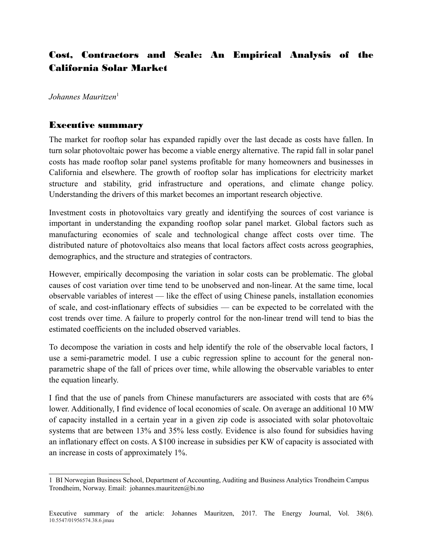## Cost, Contractors and Scale: An Empirical Analysis of the California Solar Market

*Johannes Mauritzen*[1](#page-0-0)

## Executive summary

The market for rooftop solar has expanded rapidly over the last decade as costs have fallen. In turn solar photovoltaic power has become a viable energy alternative. The rapid fall in solar panel costs has made rooftop solar panel systems profitable for many homeowners and businesses in California and elsewhere. The growth of rooftop solar has implications for electricity market structure and stability, grid infrastructure and operations, and climate change policy. Understanding the drivers of this market becomes an important research objective.

Investment costs in photovoltaics vary greatly and identifying the sources of cost variance is important in understanding the expanding rooftop solar panel market. Global factors such as manufacturing economies of scale and technological change affect costs over time. The distributed nature of photovoltaics also means that local factors affect costs across geographies, demographics, and the structure and strategies of contractors.

However, empirically decomposing the variation in solar costs can be problematic. The global causes of cost variation over time tend to be unobserved and non-linear. At the same time, local observable variables of interest — like the effect of using Chinese panels, installation economies of scale, and cost-inflationary effects of subsidies — can be expected to be correlated with the cost trends over time. A failure to properly control for the non-linear trend will tend to bias the estimated coefficients on the included observed variables.

To decompose the variation in costs and help identify the role of the observable local factors, I use a semi-parametric model. I use a cubic regression spline to account for the general nonparametric shape of the fall of prices over time, while allowing the observable variables to enter the equation linearly.

I find that the use of panels from Chinese manufacturers are associated with costs that are 6% lower. Additionally, I find evidence of local economies of scale. On average an additional 10 MW of capacity installed in a certain year in a given zip code is associated with solar photovoltaic systems that are between 13% and 35% less costly. Evidence is also found for subsidies having an inflationary effect on costs. A \$100 increase in subsidies per KW of capacity is associated with an increase in costs of approximately 1%.

<span id="page-0-0"></span><sup>1</sup> BI Norwegian Business School, Department of Accounting, Auditing and Business Analytics Trondheim Campus Trondheim, Norway. Email: johannes.mauritzen@bi.no